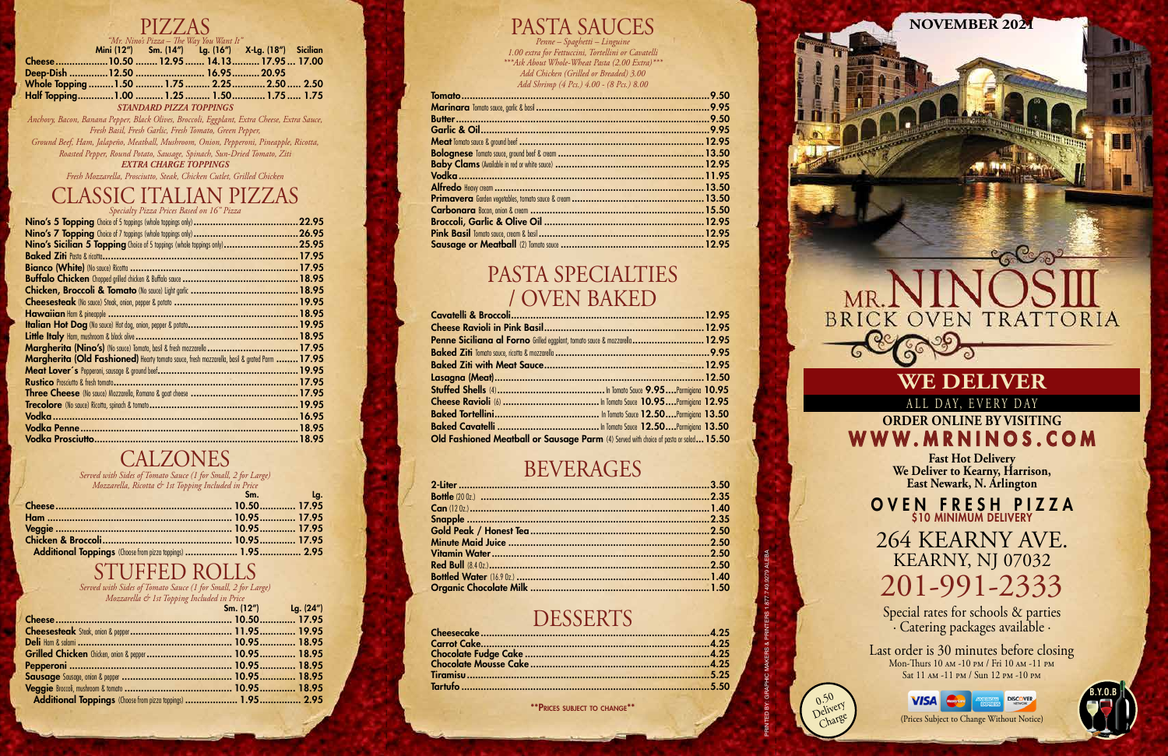PRINTED BY: GRAPHIC MAKERS & PRINTERS 1.877.749.9279 ALEBA

 $0.5^{\circ}$ Delivery Charge

## **WE DELIVER**

ALL DAY, EVERY DAY

**ORDER ONLINE BY VISITING** WWW.MRNINOS.COM

**Fast Hot Delivery We Deliver to Kearny, Harrison, East Newark, N. Arlington**

**NOVEMBER 2021**

Last order is 30 minutes before closing Mon-Thurs 10 am -10 pm / Fri 10 am -11 pm Sat 11 am -11 pm / Sun 12 pm -10 pm



OVEN FRESH PIZZA \$10 MINIMUM DELIVERY

264 KEARNY AVE. KEARNY, NJ 07032 201-991-2333

Special rates for schools & parties · Catering packages available ·

**B.Y.O.B**

(Prices Subject to Change Without Notice)

## PIZZAS

|                                             |                                | "Mr. Nino's Pizza – The Way You Want It"            |  |
|---------------------------------------------|--------------------------------|-----------------------------------------------------|--|
|                                             |                                | Mini (12") Sm. (14") Lg. (16") X-Lg. (18") Sicilian |  |
| Cheese10.50  12.95  14.13  17.95  17.00     |                                |                                                     |  |
| Deep-Dish 12.50  16.95  20.95               |                                |                                                     |  |
| Whole Topping  1.50  1.75  2.25  2.50  2.50 |                                |                                                     |  |
| Half Topping1.00  1.25  1.50 1.75  1.75     |                                |                                                     |  |
|                                             | <b>STANDARD PIZZA TOPPINGS</b> |                                                     |  |

*Anchovy, Bacon, Banana Pepper, Black Olives, Broccoli, Eggplant, Extra Cheese, Extra Sauce, Fresh Basil, Fresh Garlic, Fresh Tomato, Green Pepper,* 

*Ground Beef, Ham, Jalapeño, Meatball, Mushroom, Onion, Pepperoni, Pineapple, Ricotta, Roasted Pepper, Round Potato, Sausage, Spinach, Sun-Dried Tomato, Ziti*

*EXTRA CHARGE TOPPINGS*

*Fresh Mozzarella, Prosciutto, Steak, Chicken Cutlet, Grilled Chicken*

## CLASSIC ITALIAN PIZZAS

*Specialty Pizza Prices Based on 16" Pizza*

| Nino's Sicilian 5 Topping Choice of 5 toppings (whole toppings only)25.95                    |  |
|----------------------------------------------------------------------------------------------|--|
|                                                                                              |  |
|                                                                                              |  |
|                                                                                              |  |
|                                                                                              |  |
|                                                                                              |  |
|                                                                                              |  |
|                                                                                              |  |
|                                                                                              |  |
|                                                                                              |  |
| Margherita (Old Fashioned) Hearty tomato sauce, fresh mozzarella, basil & grated Parm  17.95 |  |
|                                                                                              |  |
|                                                                                              |  |
|                                                                                              |  |
|                                                                                              |  |
|                                                                                              |  |
|                                                                                              |  |
|                                                                                              |  |
|                                                                                              |  |

## **CALZONES**

*Served with Sides of Tomato Sauce (1 for Small, 2 for Large)*

| Mozzarella, Ricotta & 1st Topping Included in Price |         |
|-----------------------------------------------------|---------|
|                                                     | Sm. Lg. |
|                                                     |         |
|                                                     |         |
|                                                     |         |
|                                                     |         |
|                                                     |         |

# STUFFED ROLLS

*Served with Sides of Tomato Sauce (1 for Small, 2 for Large)*

| Mozzarella & 1st Topping Included in Price |                     |  |
|--------------------------------------------|---------------------|--|
|                                            | Sm. (12") Lg. (24") |  |
|                                            |                     |  |
|                                            |                     |  |
|                                            |                     |  |
|                                            |                     |  |
|                                            |                     |  |
|                                            |                     |  |
|                                            |                     |  |
|                                            |                     |  |

## PASTA SAUCES

*Penne – Spaghetti – Linguine 1.00 extra for Fettuccini, Tortellini or Cavatelli \*\*\*Ask About Whole-Wheat Pasta (2.00 Extra)\*\*\* Add Chicken (Grilled or Breaded) 3.00 Add Shrimp (4 Pcs.) 4.00 - (8 Pcs.) 8.00*

## PASTA SPECIALTIES / OVEN BAKED

| <b>Penne Siciliana al Forno</b> Grilled eggplant, tomato sauce & mozzarella  12.95    |  |
|---------------------------------------------------------------------------------------|--|
|                                                                                       |  |
|                                                                                       |  |
|                                                                                       |  |
|                                                                                       |  |
|                                                                                       |  |
|                                                                                       |  |
|                                                                                       |  |
| Old Fashioned Meatball or Sausage Parm (4) Served with choice of pasta or salad 15.50 |  |

## BEVERAGES

### **DESSERTS**

\*\*Prices subject to change\*\*